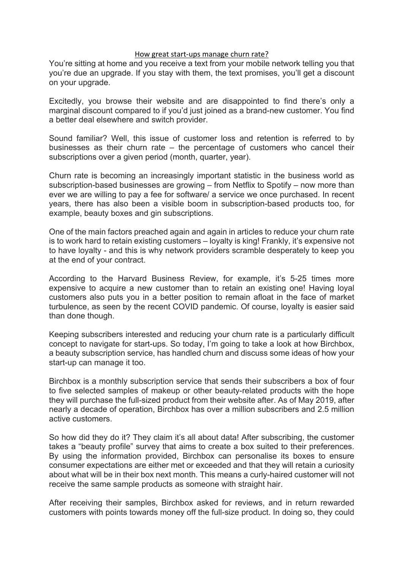## How great start-ups manage churn rate?

You're sitting at home and you receive a text from your mobile network telling you that you're due an upgrade. If you stay with them, the text promises, you'll get a discount on your upgrade.

Excitedly, you browse their website and are disappointed to find there's only a marginal discount compared to if you'd just joined as a brand-new customer. You find a better deal elsewhere and switch provider.

Sound familiar? Well, this issue of customer loss and retention is referred to by businesses as their churn rate – the percentage of customers who cancel their subscriptions over a given period (month, quarter, year).

Churn rate is becoming an increasingly important statistic in the business world as subscription-based businesses are growing – from Netflix to Spotify – now more than ever we are willing to pay a fee for software/ a service we once purchased. In recent years, there has also been a visible boom in subscription-based products too, for example, beauty boxes and gin subscriptions.

One of the main factors preached again and again in articles to reduce your churn rate is to work hard to retain existing customers – loyalty is king! Frankly, it's expensive not to have loyalty - and this is why network providers scramble desperately to keep you at the end of your contract.

According to the Harvard Business Review, for example, it's 5-25 times more expensive to acquire a new customer than to retain an existing one! Having loyal customers also puts you in a better position to remain afloat in the face of market turbulence, as seen by the recent COVID pandemic. Of course, loyalty is easier said than done though.

Keeping subscribers interested and reducing your churn rate is a particularly difficult concept to navigate for start-ups. So today, I'm going to take a look at how Birchbox, a beauty subscription service, has handled churn and discuss some ideas of how your start-up can manage it too.

Birchbox is a monthly subscription service that sends their subscribers a box of four to five selected samples of makeup or other beauty-related products with the hope they will purchase the full-sized product from their website after. As of May 2019, after nearly a decade of operation, Birchbox has over a million subscribers and 2.5 million active customers.

So how did they do it? They claim it's all about data! After subscribing, the customer takes a "beauty profile" survey that aims to create a box suited to their preferences. By using the information provided, Birchbox can personalise its boxes to ensure consumer expectations are either met or exceeded and that they will retain a curiosity about what will be in their box next month. This means a curly-haired customer will not receive the same sample products as someone with straight hair.

After receiving their samples, Birchbox asked for reviews, and in return rewarded customers with points towards money off the full-size product. In doing so, they could